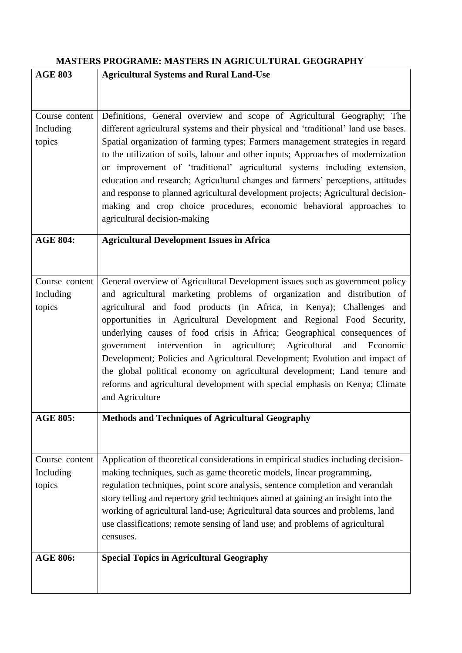## **MASTERS PROGRAME: MASTERS IN AGRICULTURAL GEOGRAPHY**

| <b>AGE 803</b>  | <b>Agricultural Systems and Rural Land-Use</b>                                                  |
|-----------------|-------------------------------------------------------------------------------------------------|
|                 |                                                                                                 |
|                 |                                                                                                 |
| Course content  | Definitions, General overview and scope of Agricultural Geography; The                          |
| Including       | different agricultural systems and their physical and 'traditional' land use bases.             |
| topics          | Spatial organization of farming types; Farmers management strategies in regard                  |
|                 | to the utilization of soils, labour and other inputs; Approaches of modernization               |
|                 | or improvement of 'traditional' agricultural systems including extension,                       |
|                 | education and research; Agricultural changes and farmers' perceptions, attitudes                |
|                 | and response to planned agricultural development projects; Agricultural decision-               |
|                 | making and crop choice procedures, economic behavioral approaches to                            |
|                 | agricultural decision-making                                                                    |
|                 |                                                                                                 |
| <b>AGE 804:</b> | <b>Agricultural Development Issues in Africa</b>                                                |
|                 |                                                                                                 |
|                 |                                                                                                 |
| Course content  | General overview of Agricultural Development issues such as government policy                   |
| Including       | and agricultural marketing problems of organization and distribution of                         |
| topics          | agricultural and food products (in Africa, in Kenya); Challenges and                            |
|                 | opportunities in Agricultural Development and Regional Food Security,                           |
|                 | underlying causes of food crisis in Africa; Geographical consequences of                        |
|                 | government intervention in agriculture; Agricultural<br>and Economic                            |
|                 | Development; Policies and Agricultural Development; Evolution and impact of                     |
|                 | the global political economy on agricultural development; Land tenure and                       |
|                 | reforms and agricultural development with special emphasis on Kenya; Climate<br>and Agriculture |
|                 |                                                                                                 |
| <b>AGE 805:</b> | <b>Methods and Techniques of Agricultural Geography</b>                                         |
|                 |                                                                                                 |
|                 |                                                                                                 |
| Course content  | Application of theoretical considerations in empirical studies including decision-              |
| Including       | making techniques, such as game theoretic models, linear programming,                           |
| topics          | regulation techniques, point score analysis, sentence completion and verandah                   |
|                 | story telling and repertory grid techniques aimed at gaining an insight into the                |
|                 | working of agricultural land-use; Agricultural data sources and problems, land                  |
|                 | use classifications; remote sensing of land use; and problems of agricultural                   |
|                 | censuses.                                                                                       |
| <b>AGE 806:</b> | <b>Special Topics in Agricultural Geography</b>                                                 |
|                 |                                                                                                 |
|                 |                                                                                                 |
|                 |                                                                                                 |